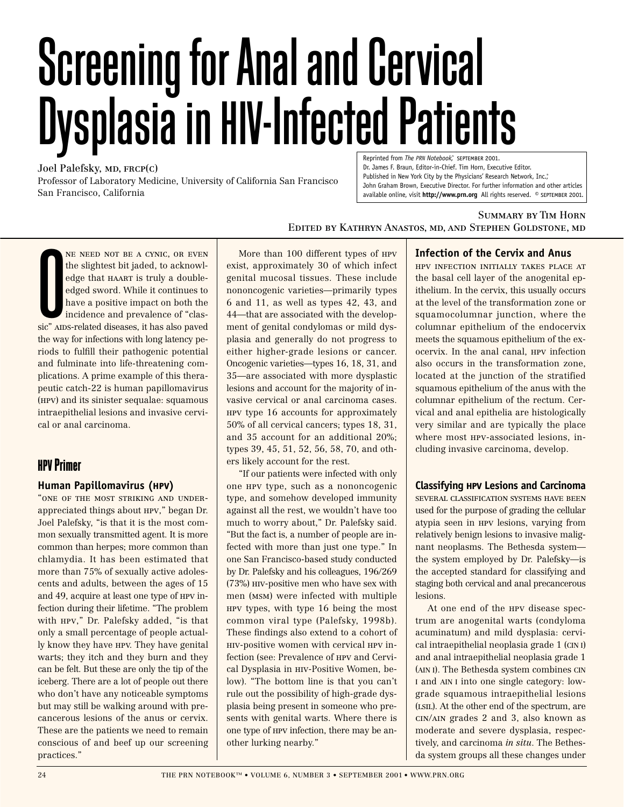# Screening for Anal and Cervical Dysplasia in HIV-Infected Patients

Joel Palefsky, MD, FRCP(C) Professor of Laboratory Medicine, University of California San Francisco San Francisco, California

Reprinted from *The PRN Notebook*," SEPTEMBER 2001. Dr. James F. Braun, Editor-in-Chief. Tim Horn, Executive Editor. Published in New York City by the Physicians' Research Network, Inc." John Graham Brown, Executive Director. For further information and other articles available online, visit **http://www.prn.org** All rights reserved. © september 2001.

#### Summary by Tim Horn

Edited by Kathryn Anastos, md, and Stephen Goldstone, md

**O**<br>Sic" AII ne need not be a cynic, or even the slightest bit jaded, to acknowledge that HAART is truly a doubleedged sword. While it continues to have a positive impact on both the incidence and prevalence of "classic" AIDS-related diseases, it has also paved the way for infections with long latency periods to fulfill their pathogenic potential and fulminate into life-threatening complications. A prime example of this therapeutic catch-22 is human papillomavirus (hpv) and its sinister sequalae: squamous intraepithelial lesions and invasive cervical or anal carcinoma.

## **HPV Primer**

#### **Human Papillomavirus (hpv)**

"one of the most striking and underappreciated things about hpv," began Dr. Joel Palefsky, "is that it is the most common sexually transmitted agent. It is more common than herpes; more common than chlamydia. It has been estimated that more than 75% of sexually active adolescents and adults, between the ages of 15 and 49, acquire at least one type of hpv infection during their lifetime. "The problem with hpv," Dr. Palefsky added, "is that only a small percentage of people actually know they have HPV. They have genital warts; they itch and they burn and they can be felt. But these are only the tip of the iceberg. There are a lot of people out there who don't have any noticeable symptoms but may still be walking around with precancerous lesions of the anus or cervix. These are the patients we need to remain conscious of and beef up our screening practices."

More than 100 different types of hpv exist, approximately 30 of which infect genital mucosal tissues. These include nononcogenic varieties—primarily types 6 and 11, as well as types 42, 43, and 44—that are associated with the development of genital condylomas or mild dysplasia and generally do not progress to either higher-grade lesions or cancer. Oncogenic varieties—types 16, 18, 31, and 35—are associated with more dysplastic lesions and account for the majority of invasive cervical or anal carcinoma cases. hpv type 16 accounts for approximately 50% of all cervical cancers; types 18, 31, and 35 account for an additional 20%; types 39, 45, 51, 52, 56, 58, 70, and others likely account for the rest.

"If our patients were infected with only one hpv type, such as a nononcogenic type, and somehow developed immunity against all the rest, we wouldn't have too much to worry about," Dr. Palefsky said. "But the fact is, a number of people are infected with more than just one type." In one San Francisco-based study conducted by Dr. Palefsky and his colleagues, 196/269 (73%) hiv-positive men who have sex with men (msm) were infected with multiple hpv types, with type 16 being the most common viral type (Palefsky, 1998b). These findings also extend to a cohort of hiv-positive women with cervical hpv infection (see: Prevalence of hpv and Cervical Dysplasia in hiv-Positive Women, below). "The bottom line is that you can't rule out the possibility of high-grade dysplasia being present in someone who presents with genital warts. Where there is one type of hpv infection, there may be another lurking nearby."

#### **Infection of the Cervix and Anus**

hpv infection initially takes place at the basal cell layer of the anogenital epithelium. In the cervix, this usually occurs at the level of the transformation zone or squamocolumnar junction, where the columnar epithelium of the endocervix meets the squamous epithelium of the exocervix. In the anal canal, hpv infection also occurs in the transformation zone, located at the junction of the stratified squamous epithelium of the anus with the columnar epithelium of the rectum. Cervical and anal epithelia are histologically very similar and are typically the place where most hpv-associated lesions, including invasive carcinoma, develop.

#### **Classifying hpv Lesions and Carcinoma**

several classification systems have been used for the purpose of grading the cellular atypia seen in hpv lesions, varying from relatively benign lesions to invasive malignant neoplasms. The Bethesda system the system employed by Dr. Palefsky—is the accepted standard for classifying and staging both cervical and anal precancerous lesions.

At one end of the hpv disease spectrum are anogenital warts (condyloma acuminatum) and mild dysplasia: cervical intraepithelial neoplasia grade 1 (CIN I) and anal intraepithelial neoplasia grade 1 (AIN I). The Bethesda system combines CIN I and AIN I into one single category: lowgrade squamous intraepithelial lesions (lsil). At the other end of the spectrum, are cin/ain grades 2 and 3, also known as moderate and severe dysplasia, respectively, and carcinoma *in situ*. The Bethesda system groups all these changes under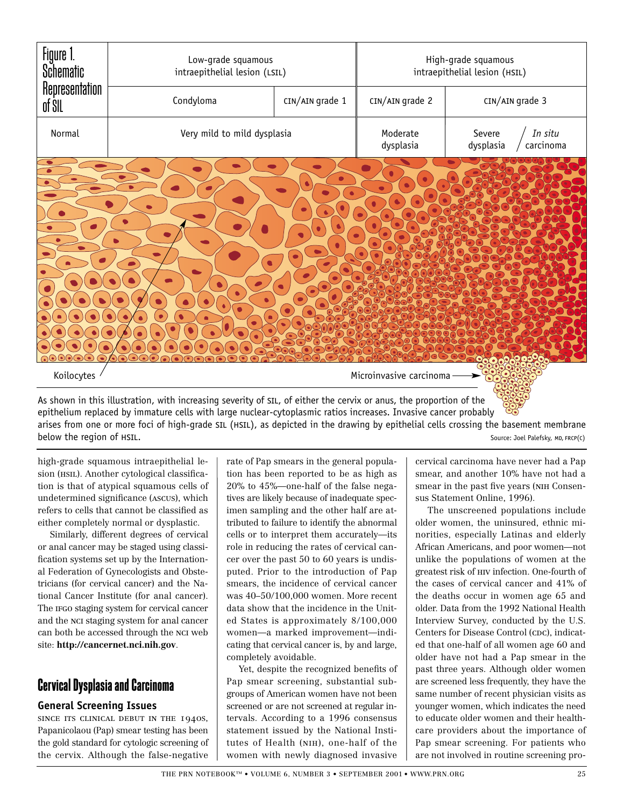

As shown in this illustration, with increasing severity of sil, of either the cervix or anus, the proportion of the epithelium replaced by immature cells with large nuclear-cytoplasmic ratios increases. Invasive cancer probably arises from one or more foci of high-grade SIL (HSIL), as depicted in the drawing by epithelial cells crossing the basement membrane below the region of HSIL. Source: Joel Palefsky, MD, FRCP(C)

high-grade squamous intraepithelial lesion (HSIL). Another cytological classification is that of atypical squamous cells of undetermined significance (ascus), which refers to cells that cannot be classified as either completely normal or dysplastic.

Similarly, different degrees of cervical or anal cancer may be staged using classification systems set up by the International Federation of Gynecologists and Obstetricians (for cervical cancer) and the National Cancer Institute (for anal cancer). The IFGO staging system for cervical cancer and the nci staging system for anal cancer can both be accessed through the nci web site: **http://cancernet.nci.nih.gov**.

## **Cervical Dysplasia and Carcinoma**

#### **General Screening Issues**

since its clinical debut in the 1940s, Papanicolaou (Pap) smear testing has been the gold standard for cytologic screening of the cervix. Although the false-negative

rate of Pap smears in the general population has been reported to be as high as 20% to 45%—one-half of the false negatives are likely because of inadequate specimen sampling and the other half are attributed to failure to identify the abnormal cells or to interpret them accurately—its role in reducing the rates of cervical cancer over the past 50 to 60 years is undisputed. Prior to the introduction of Pap smears, the incidence of cervical cancer was 40–50/100,000 women. More recent data show that the incidence in the United States is approximately 8/100,000 women—a marked improvement—indicating that cervical cancer is, by and large, completely avoidable.

Yet, despite the recognized benefits of Pap smear screening, substantial subgroups of American women have not been screened or are not screened at regular intervals. According to a 1996 consensus statement issued by the National Institutes of Health (nih), one-half of the women with newly diagnosed invasive

cervical carcinoma have never had a Pap smear, and another 10% have not had a smear in the past five years (nih Consensus Statement Online, 1996).

The unscreened populations include older women, the uninsured, ethnic minorities, especially Latinas and elderly African Americans, and poor women—not unlike the populations of women at the greatest risk of hiv infection. One-fourth of the cases of cervical cancer and 41% of the deaths occur in women age 65 and older. Data from the 1992 National Health Interview Survey, conducted by the U.S. Centers for Disease Control (CDC), indicated that one-half of all women age 60 and older have not had a Pap smear in the past three years. Although older women are screened less frequently, they have the same number of recent physician visits as younger women, which indicates the need to educate older women and their healthcare providers about the importance of Pap smear screening. For patients who are not involved in routine screening pro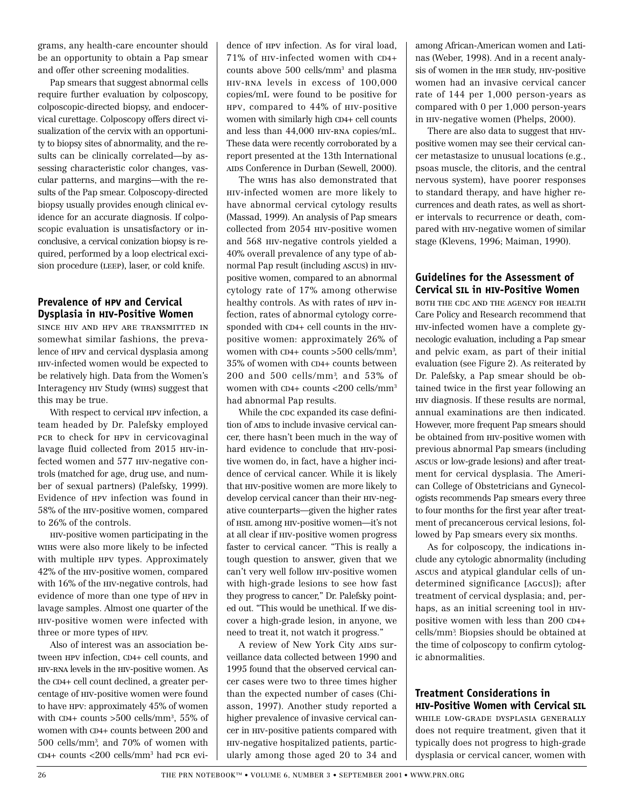grams, any health-care encounter should be an opportunity to obtain a Pap smear and offer other screening modalities.

Pap smears that suggest abnormal cells require further evaluation by colposcopy, colposcopic-directed biopsy, and endocervical curettage. Colposcopy offers direct visualization of the cervix with an opportunity to biopsy sites of abnormality, and the results can be clinically correlated—by assessing characteristic color changes, vascular patterns, and margins—with the results of the Pap smear. Colposcopy-directed biopsy usually provides enough clinical evidence for an accurate diagnosis. If colposcopic evaluation is unsatisfactory or inconclusive, a cervical conization biopsy is required, performed by a loop electrical excision procedure (LEEP), laser, or cold knife.

#### **Prevalence of hpv and Cervical Dysplasia in hiv-Positive Women**

since hiv and hpv are transmitted in somewhat similar fashions, the prevalence of hpv and cervical dysplasia among hiv-infected women would be expected to be relatively high. Data from the Women's Interagency hiv Study (wihs) suggest that this may be true.

With respect to cervical hpv infection, a team headed by Dr. Palefsky employed pcr to check for HPV in cervicovaginal lavage fluid collected from 2015 hiv-infected women and 577 hiv-negative controls (matched for age, drug use, and number of sexual partners) (Palefsky, 1999). Evidence of hpv infection was found in 58% of the hiv-positive women, compared to 26% of the controls.

hiv-positive women participating in the wihs were also more likely to be infected with multiple hpv types. Approximately 42% of the hiv-positive women, compared with 16% of the hiv-negative controls, had evidence of more than one type of hpv in lavage samples. Almost one quarter of the hiv-positive women were infected with three or more types of hpv.

Also of interest was an association between hpv infection, CD4+ cell counts, and hiv-rna levels in the hiv-positive women. As the CD4+ cell count declined, a greater percentage of hiv-positive women were found to have hpv: approximately 45% of women with  $CD4+$  counts  $>500$  cells/mm<sup>3</sup>, 55% of women with CD4+ counts between 200 and 500 cells/mm3 , and 70% of women with  $CD4+$  counts  $<200$  cells/mm<sup>3</sup> had pcR evidence of hpv infection. As for viral load, 71% of hiv-infected women with CD4+ counts above 500 cells/mm3 and plasma hiv-rna levels in excess of 100,000 copies/mL were found to be positive for hpv, compared to 44% of hiv-positive women with similarly high CD4+ cell counts and less than 44,000 hiv-rna copies/mL. These data were recently corroborated by a report presented at the 13th International AIDS Conference in Durban (Sewell, 2000).

The wihs has also demonstrated that hiv-infected women are more likely to have abnormal cervical cytology results (Massad, 1999). An analysis of Pap smears collected from 2054 hiv-positive women and 568 hiv-negative controls yielded a 40% overall prevalence of any type of abnormal Pap result (including ascus) in hivpositive women, compared to an abnormal cytology rate of 17% among otherwise healthy controls. As with rates of hpv infection, rates of abnormal cytology corresponded with CD4+ cell counts in the hivpositive women: approximately 26% of women with CD4+ counts >500 cells/mm3 , 35% of women with CD4+ counts between 200 and 500 cells/mm3 , and 53% of women with CD4+ counts <200 cells/mm3 had abnormal Pap results.

While the coc expanded its case definition of AIDS to include invasive cervical cancer, there hasn't been much in the way of hard evidence to conclude that hiv-positive women do, in fact, have a higher incidence of cervical cancer. While it is likely that hiv-positive women are more likely to develop cervical cancer than their hiv-negative counterparts—given the higher rates of hsil among hiv-positive women—it's not at all clear if hiv-positive women progress faster to cervical cancer. "This is really a tough question to answer, given that we can't very well follow hiv-positive women with high-grade lesions to see how fast they progress to cancer," Dr. Palefsky pointed out. "This would be unethical. If we discover a high-grade lesion, in anyone, we need to treat it, not watch it progress."

A review of New York City AIDS surveillance data collected between 1990 and 1995 found that the observed cervical cancer cases were two to three times higher than the expected number of cases (Chiasson, 1997). Another study reported a higher prevalence of invasive cervical cancer in hiv-positive patients compared with hiv-negative hospitalized patients, particularly among those aged 20 to 34 and

among African-American women and Latinas (Weber, 1998). And in a recent analysis of women in the her study, hiv-positive women had an invasive cervical cancer rate of 144 per 1,000 person-years as compared with 0 per 1,000 person-years in hiv-negative women (Phelps, 2000).

There are also data to suggest that  $HIV$ positive women may see their cervical cancer metastasize to unusual locations (e.g., psoas muscle, the clitoris, and the central nervous system), have poorer responses to standard therapy, and have higher recurrences and death rates, as well as shorter intervals to recurrence or death, compared with hiv-negative women of similar stage (Klevens, 1996; Maiman, 1990).

#### **Guidelines for the Assessment of Cervical sil in hiv-Positive Women**

both the cdc and the agency for health Care Policy and Research recommend that hiv-infected women have a complete gynecologic evaluation, including a Pap smear and pelvic exam, as part of their initial evaluation (see Figure 2). As reiterated by Dr. Palefsky, a Pap smear should be obtained twice in the first year following an hiv diagnosis. If these results are normal, annual examinations are then indicated. However, more frequent Pap smears should be obtained from hiv-positive women with previous abnormal Pap smears (including ascus or low-grade lesions) and after treatment for cervical dysplasia. The American College of Obstetricians and Gynecologists recommends Pap smears every three to four months for the first year after treatment of precancerous cervical lesions, followed by Pap smears every six months.

As for colposcopy, the indications include any cytologic abnormality (including ascus and atypical glandular cells of undetermined significance [agcus]); after treatment of cervical dysplasia; and, perhaps, as an initial screening tool in HIVpositive women with less than 200 CD4+ cells/mm3 . Biopsies should be obtained at the time of colposcopy to confirm cytologic abnormalities.

#### **Treatment Considerations in hiv-Positive Women with Cervical sil**

while low-grade dysplasia generally does not require treatment, given that it typically does not progress to high-grade dysplasia or cervical cancer, women with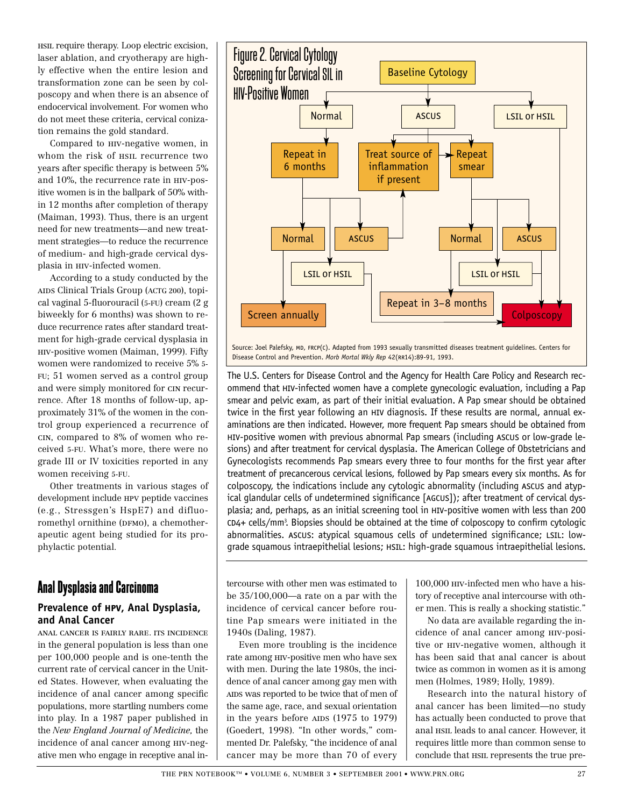hsil require therapy. Loop electric excision, laser ablation, and cryotherapy are highly effective when the entire lesion and transformation zone can be seen by colposcopy and when there is an absence of endocervical involvement. For women who do not meet these criteria, cervical conization remains the gold standard.

Compared to hiv-negative women, in whom the risk of hsil recurrence two years after specific therapy is between 5% and 10%, the recurrence rate in hiv-positive women is in the ballpark of 50% within 12 months after completion of therapy (Maiman, 1993). Thus, there is an urgent need for new treatments—and new treatment strategies—to reduce the recurrence of medium- and high-grade cervical dysplasia in hiv-infected women.

According to a study conducted by the AIDS Clinical Trials Group (ACTG 200), topical vaginal 5-fluorouracil (5-FU) cream (2 g biweekly for 6 months) was shown to reduce recurrence rates after standard treatment for high-grade cervical dysplasia in hiv-positive women (Maiman, 1999). Fifty women were randomized to receive 5% 5- FU; 51 women served as a control group and were simply monitored for cin recurrence. After 18 months of follow-up, approximately 31% of the women in the control group experienced a recurrence of cin, compared to 8% of women who received 5-FU. What's more, there were no grade III or IV toxicities reported in any women receiving 5-FU.

Other treatments in various stages of development include hpv peptide vaccines (e.g., Stressgen's HspE7) and difluoromethyl ornithine (DFMO), a chemotherapeutic agent being studied for its prophylactic potential.

### **Anal Dysplasia and Carcinoma**

#### **Prevalence of hpv, Anal Dysplasia, and Anal Cancer**

anal cancer is fairly rare. its incidence in the general population is less than one per 100,000 people and is one-tenth the current rate of cervical cancer in the United States. However, when evaluating the incidence of anal cancer among specific populations, more startling numbers come into play. In a 1987 paper published in the *New England Journal of Medicine,* the incidence of anal cancer among hiv-negative men who engage in receptive anal in-



Source: Joel Palefsky, MD, FRCP(C). Adapted from 1993 sexually transmitted diseases treatment guidelines. Centers for Disease Control and Prevention. *Morb Mortal Wkly Rep* 42(rr14):89-91, 1993.

The U.S. Centers for Disease Control and the Agency for Health Care Policy and Research recommend that hiv-infected women have a complete gynecologic evaluation, including a Pap smear and pelvic exam, as part of their initial evaluation. A Pap smear should be obtained twice in the first year following an hiv diagnosis. If these results are normal, annual examinations are then indicated. However, more frequent Pap smears should be obtained from hiv-positive women with previous abnormal Pap smears (including ascus or low-grade lesions) and after treatment for cervical dysplasia. The American College of Obstetricians and Gynecologists recommends Pap smears every three to four months for the first year after treatment of precancerous cervical lesions, followed by Pap smears every six months. As for colposcopy, the indications include any cytologic abnormality (including ascus and atypical glandular cells of undetermined significance [agcus]); after treatment of cervical dysplasia; and, perhaps, as an initial screening tool in hiv-positive women with less than 200 cd4+ cells/mm3 . Biopsies should be obtained at the time of colposcopy to confirm cytologic abnormalities. ASCUS: atypical squamous cells of undetermined significance; LSIL: lowgrade squamous intraepithelial lesions; HSIL: high-grade squamous intraepithelial lesions.

tercourse with other men was estimated to be 35/100,000—a rate on a par with the incidence of cervical cancer before routine Pap smears were initiated in the 1940s (Daling, 1987).

Even more troubling is the incidence rate among hiv-positive men who have sex with men. During the late 1980s, the incidence of anal cancer among gay men with AIDS was reported to be twice that of men of the same age, race, and sexual orientation in the years before  $AIDS$  (1975 to 1979) (Goedert, 1998). "In other words," commented Dr. Palefsky, "the incidence of anal cancer may be more than 70 of every

100,000 hiv-infected men who have a history of receptive anal intercourse with other men. This is really a shocking statistic."

No data are available regarding the incidence of anal cancer among hiv-positive or hiv-negative women, although it has been said that anal cancer is about twice as common in women as it is among men (Holmes, 1989; Holly, 1989).

Research into the natural history of anal cancer has been limited—no study has actually been conducted to prove that anal hsil leads to anal cancer. However, it requires little more than common sense to conclude that hsil represents the true pre-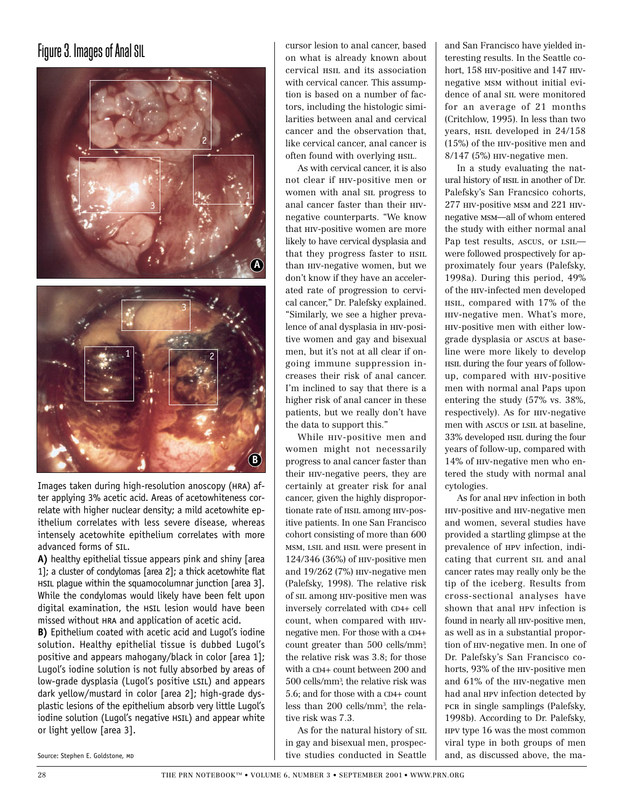## Figure 3. Images of Anal SIL





Images taken during high-resolution anoscopy (hra) after applying 3% acetic acid. Areas of acetowhiteness correlate with higher nuclear density; a mild acetowhite epithelium correlates with less severe disease, whereas intensely acetowhite epithelium correlates with more advanced forms of sil.

**A)** healthy epithelial tissue appears pink and shiny [area 1]; a cluster of condylomas [area 2]; a thick acetowhite flat HSIL plague within the squamocolumnar junction [area 3]. While the condylomas would likely have been felt upon digital examination, the HSIL lesion would have been missed without hra and application of acetic acid.

**B)** Epithelium coated with acetic acid and Lugol's iodine solution. Healthy epithelial tissue is dubbed Lugol's positive and appears mahogany/black in color [area 1]; Lugol's iodine solution is not fully absorbed by areas of low-grade dysplasia (Lugol's positive LSIL) and appears dark yellow/mustard in color [area 2]; high-grade dysplastic lesions of the epithelium absorb very little Lugol's iodine solution (Lugol's negative HSIL) and appear white or light yellow [area 3].

Source: Stephen E. Goldstone, MD

cursor lesion to anal cancer, based on what is already known about cervical hsil and its association with cervical cancer. This assumption is based on a number of factors, including the histologic similarities between anal and cervical cancer and the observation that, like cervical cancer, anal cancer is often found with overlying hsil.

As with cervical cancer, it is also not clear if hiv-positive men or women with anal sil progress to anal cancer faster than their hivnegative counterparts. "We know that hiv-positive women are more likely to have cervical dysplasia and that they progress faster to HSIL than hiv-negative women, but we don't know if they have an accelerated rate of progression to cervical cancer," Dr. Palefsky explained. "Similarly, we see a higher prevalence of anal dysplasia in hiv-positive women and gay and bisexual men, but it's not at all clear if ongoing immune suppression increases their risk of anal cancer. I'm inclined to say that there is a higher risk of anal cancer in these patients, but we really don't have the data to support this."

While **HIV-positive** men and women might not necessarily progress to anal cancer faster than their hiv-negative peers, they are certainly at greater risk for anal cancer, given the highly disproportionate rate of  $HSL$  among HIV-positive patients. In one San Francisco cohort consisting of more than 600 msm, lsil and hsil were present in 124/346 (36%) of hiv-positive men and 19/262 (7%) hiv-negative men (Palefsky, 1998). The relative risk of sil among hiv-positive men was inversely correlated with CD4+ cell count, when compared with hivnegative men. For those with a CD4+ count greater than 500 cells/mm3 , the relative risk was 3.8; for those with a CD4+ count between 200 and 500 cells/mm3 , the relative risk was 5.6; and for those with a CD4+ count less than 200 cells/mm3 , the relative risk was 7.3.

As for the natural history of sil in gay and bisexual men, prospective studies conducted in Seattle

and San Francisco have yielded interesting results. In the Seattle cohort, 158 hiv-positive and 147 hivnegative msm without initial evidence of anal sil were monitored for an average of 21 months (Critchlow, 1995). In less than two years, HSIL developed in  $24/158$ (15%) of the hiv-positive men and 8/147 (5%) hiv-negative men.

In a study evaluating the natural history of  $HSE$  in another of Dr. Palefsky's San Francsico cohorts, 277 hiv-positive msm and 221 hivnegative msm—all of whom entered the study with either normal anal Pap test results, ascus, or lsil were followed prospectively for approximately four years (Palefsky, 1998a). During this period, 49% of the hiv-infected men developed hsil, compared with 17% of the hiv-negative men. What's more, hiv-positive men with either lowgrade dysplasia or ascus at baseline were more likely to develop hsil during the four years of followup, compared with hiv-positive men with normal anal Paps upon entering the study (57% vs. 38%, respectively). As for hiv-negative men with ascus or LSIL at baseline, 33% developed hsil during the four years of follow-up, compared with 14% of hiv-negative men who entered the study with normal anal cytologies.

As for anal hpv infection in both hiv-positive and hiv-negative men and women, several studies have provided a startling glimpse at the prevalence of hpv infection, indicating that current sil and anal cancer rates may really only be the tip of the iceberg. Results from cross-sectional analyses have shown that anal HPV infection is found in nearly all hiv-positive men, as well as in a substantial proportion of hiv-negative men. In one of Dr. Palefsky's San Francisco cohorts, 93% of the hiv-positive men and 61% of the hiv-negative men had anal hpv infection detected by pcr in single samplings (Palefsky, 1998b). According to Dr. Palefsky, hpv type 16 was the most common viral type in both groups of men and, as discussed above, the ma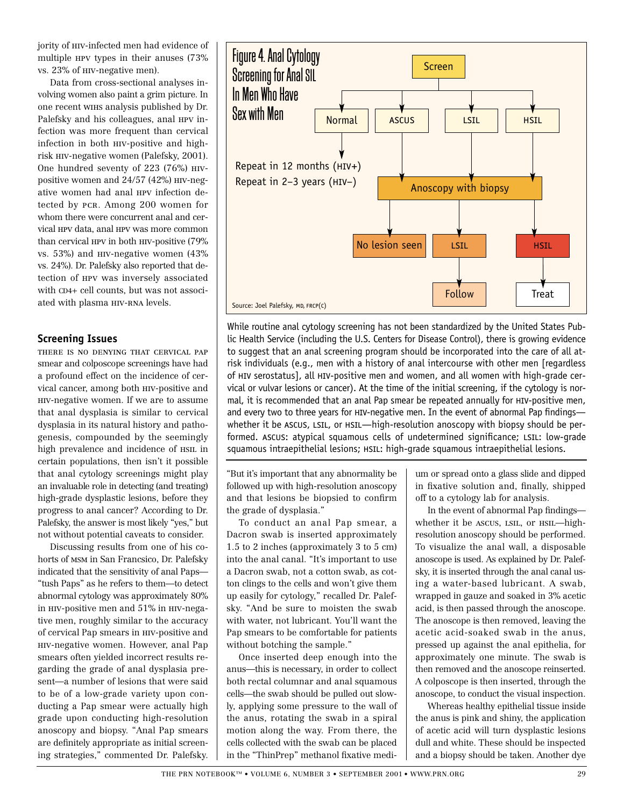jority of hiv-infected men had evidence of multiple hpv types in their anuses (73% vs. 23% of hiv-negative men).

Data from cross-sectional analyses involving women also paint a grim picture. In one recent wihs analysis published by Dr. Palefsky and his colleagues, anal HPV infection was more frequent than cervical infection in both hiv-positive and highrisk hiv-negative women (Palefsky, 2001). One hundred seventy of 223 (76%) hivpositive women and 24/57 (42%) HIV-negative women had anal hpv infection detected by pcr. Among 200 women for whom there were concurrent anal and cervical hpv data, anal hpv was more common than cervical hpv in both hiv-positive (79% vs. 53%) and hiv-negative women (43% vs. 24%). Dr. Palefsky also reported that detection of hpv was inversely associated with CD4+ cell counts, but was not associated with plasma HIV-RNA levels.

#### **Screening Issues**

there is no denying that cervical pap smear and colposcope screenings have had a profound effect on the incidence of cervical cancer, among both hiv-positive and hiv-negative women. If we are to assume that anal dysplasia is similar to cervical dysplasia in its natural history and pathogenesis, compounded by the seemingly high prevalence and incidence of  $HSL$  in certain populations, then isn't it possible that anal cytology screenings might play an invaluable role in detecting (and treating) high-grade dysplastic lesions, before they progress to anal cancer? According to Dr. Palefsky, the answer is most likely "yes," but not without potential caveats to consider.

Discussing results from one of his cohorts of msm in San Francsico, Dr. Palefsky indicated that the sensitivity of anal Paps— "tush Paps" as he refers to them—to detect abnormal cytology was approximately 80% in hiv-positive men and 51% in hiv-negative men, roughly similar to the accuracy of cervical Pap smears in hiv-positive and hiv-negative women. However, anal Pap smears often yielded incorrect results regarding the grade of anal dysplasia present—a number of lesions that were said to be of a low-grade variety upon conducting a Pap smear were actually high grade upon conducting high-resolution anoscopy and biopsy. "Anal Pap smears are definitely appropriate as initial screening strategies," commented Dr. Palefsky.



While routine anal cytology screening has not been standardized by the United States Public Health Service (including the U.S. Centers for Disease Control), there is growing evidence to suggest that an anal screening program should be incorporated into the care of all atrisk individuals (e.g., men with a history of anal intercourse with other men [regardless of hiv serostatus], all hiv-positive men and women, and all women with high-grade cervical or vulvar lesions or cancer). At the time of the initial screening, if the cytology is normal, it is recommended that an anal Pap smear be repeated annually for hiv-positive men, and every two to three years for hiv-negative men. In the event of abnormal Pap findings whether it be ASCUS, LSIL, or HSIL—high-resolution anoscopy with biopsy should be performed. ASCUS: atypical squamous cells of undetermined significance; LSIL: low-grade squamous intraepithelial lesions; HSIL: high-grade squamous intraepithelial lesions.

"But it's important that any abnormality be followed up with high-resolution anoscopy and that lesions be biopsied to confirm the grade of dysplasia."

To conduct an anal Pap smear, a Dacron swab is inserted approximately 1.5 to 2 inches (approximately 3 to 5 cm) into the anal canal. "It's important to use a Dacron swab, not a cotton swab, as cotton clings to the cells and won't give them up easily for cytology," recalled Dr. Palefsky. "And be sure to moisten the swab with water, not lubricant. You'll want the Pap smears to be comfortable for patients without botching the sample."

Once inserted deep enough into the anus—this is necessary, in order to collect both rectal columnar and anal squamous cells—the swab should be pulled out slowly, applying some pressure to the wall of the anus, rotating the swab in a spiral motion along the way. From there, the cells collected with the swab can be placed in the "ThinPrep" methanol fixative medium or spread onto a glass slide and dipped in fixative solution and, finally, shipped off to a cytology lab for analysis.

In the event of abnormal Pap findings whether it be ascus, LSIL, or  $H\sin$ —highresolution anoscopy should be performed. To visualize the anal wall, a disposable anoscope is used. As explained by Dr. Palefsky, it is inserted through the anal canal using a water-based lubricant. A swab, wrapped in gauze and soaked in 3% acetic acid, is then passed through the anoscope. The anoscope is then removed, leaving the acetic acid-soaked swab in the anus, pressed up against the anal epithelia, for approximately one minute. The swab is then removed and the anoscope reinserted. A colposcope is then inserted, through the anoscope, to conduct the visual inspection.

Whereas healthy epithelial tissue inside the anus is pink and shiny, the application of acetic acid will turn dysplastic lesions dull and white. These should be inspected and a biopsy should be taken. Another dye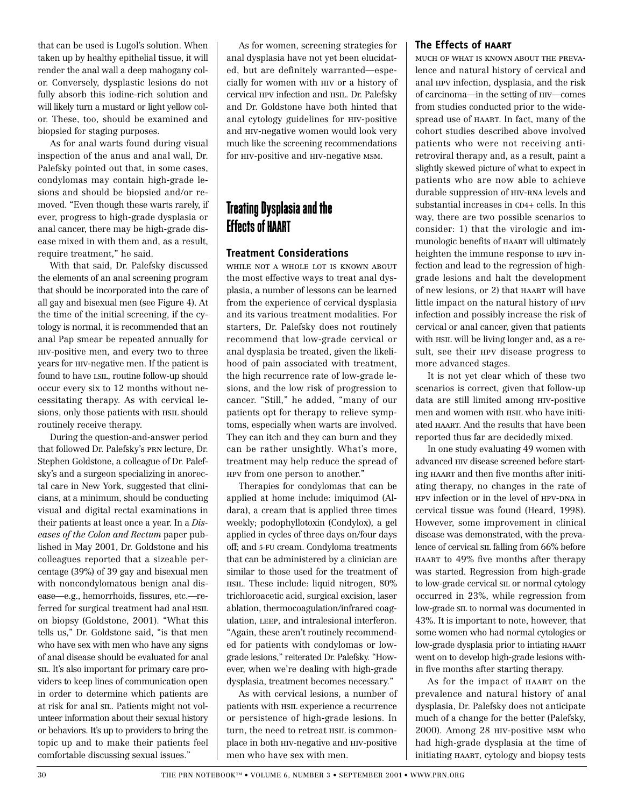that can be used is Lugol's solution. When taken up by healthy epithelial tissue, it will render the anal wall a deep mahogany color. Conversely, dysplastic lesions do not fully absorb this iodine-rich solution and will likely turn a mustard or light yellow color. These, too, should be examined and biopsied for staging purposes.

As for anal warts found during visual inspection of the anus and anal wall, Dr. Palefsky pointed out that, in some cases, condylomas may contain high-grade lesions and should be biopsied and/or removed. "Even though these warts rarely, if ever, progress to high-grade dysplasia or anal cancer, there may be high-grade disease mixed in with them and, as a result, require treatment," he said.

With that said, Dr. Palefsky discussed the elements of an anal screening program that should be incorporated into the care of all gay and bisexual men (see Figure 4). At the time of the initial screening, if the cytology is normal, it is recommended that an anal Pap smear be repeated annually for hiv-positive men, and every two to three years for hiv-negative men. If the patient is found to have LSIL, routine follow-up should occur every six to 12 months without necessitating therapy. As with cervical lesions, only those patients with  $HSE$  should routinely receive therapy.

During the question-and-answer period that followed Dr. Palefsky's prn lecture, Dr. Stephen Goldstone, a colleague of Dr. Palefsky's and a surgeon specializing in anorectal care in New York, suggested that clinicians, at a minimum, should be conducting visual and digital rectal examinations in their patients at least once a year. In a *Diseases of the Colon and Rectum* paper published in May 2001, Dr. Goldstone and his colleagues reported that a sizeable percentage (39%) of 39 gay and bisexual men with noncondylomatous benign anal disease—e.g., hemorrhoids, fissures, etc.—referred for surgical treatment had anal  $HSL$ on biopsy (Goldstone, 2001). "What this tells us," Dr. Goldstone said, "is that men who have sex with men who have any signs of anal disease should be evaluated for anal sil. It's also important for primary care providers to keep lines of communication open in order to determine which patients are at risk for anal sil. Patients might not volunteer information about their sexual history or behaviors. It's up to providers to bring the topic up and to make their patients feel comfortable discussing sexual issues."

As for women, screening strategies for anal dysplasia have not yet been elucidated, but are definitely warranted—especially for women with hiv or a history of cervical hpv infection and hsil. Dr. Palefsky and Dr. Goldstone have both hinted that anal cytology guidelines for hiv-positive and hiv-negative women would look very much like the screening recommendations for hiv-positive and hiv-negative msm.

## **Treating Dysplasia and the Effects of HAART**

#### **Treatment Considerations**

while not a whole lot is known about the most effective ways to treat anal dysplasia, a number of lessons can be learned from the experience of cervical dysplasia and its various treatment modalities. For starters, Dr. Palefsky does not routinely recommend that low-grade cervical or anal dysplasia be treated, given the likelihood of pain associated with treatment, the high recurrence rate of low-grade lesions, and the low risk of progression to cancer. "Still," he added, "many of our patients opt for therapy to relieve symptoms, especially when warts are involved. They can itch and they can burn and they can be rather unsightly. What's more, treatment may help reduce the spread of hpv from one person to another."

Therapies for condylomas that can be applied at home include: imiquimod (Aldara), a cream that is applied three times weekly; podophyllotoxin (Condylox), a gel applied in cycles of three days on/four days off; and 5-FU cream. Condyloma treatments that can be administered by a clinician are similar to those used for the treatment of hsil. These include: liquid nitrogen, 80% trichloroacetic acid, surgical excision, laser ablation, thermocoagulation/infrared coagulation, leep, and intralesional interferon. "Again, these aren't routinely recommended for patients with condylomas or lowgrade lesions," reiterated Dr. Palefsky. "However, when we're dealing with high-grade dysplasia, treatment becomes necessary."

As with cervical lesions, a number of patients with hsil experience a recurrence or persistence of high-grade lesions. In turn, the need to retreat  $HSTL$  is commonplace in both hiv-negative and hiv-positive men who have sex with men.

#### **The Effects of haart**

much of what is known about the prevalence and natural history of cervical and anal hpv infection, dysplasia, and the risk of carcinoma—in the setting of hiv—comes from studies conducted prior to the widespread use of haart. In fact, many of the cohort studies described above involved patients who were not receiving antiretroviral therapy and, as a result, paint a slightly skewed picture of what to expect in patients who are now able to achieve durable suppression of hiv-rna levels and substantial increases in CD4+ cells. In this way, there are two possible scenarios to consider: 1) that the virologic and immunologic benefits of haart will ultimately heighten the immune response to hpv infection and lead to the regression of highgrade lesions and halt the development of new lesions, or 2) that haart will have little impact on the natural history of hpv infection and possibly increase the risk of cervical or anal cancer, given that patients with  $HSE$  will be living longer and, as a result, see their hpv disease progress to more advanced stages.

It is not yet clear which of these two scenarios is correct, given that follow-up data are still limited among hiv-positive men and women with  $HSE$  who have initiated haart. And the results that have been reported thus far are decidedly mixed.

In one study evaluating 49 women with advanced hiv disease screened before starting haart and then five months after initiating therapy, no changes in the rate of HPV infection or in the level of HPV-DNA in cervical tissue was found (Heard, 1998). However, some improvement in clinical disease was demonstrated, with the prevalence of cervical sil falling from 66% before haart to 49% five months after therapy was started. Regression from high-grade to low-grade cervical sil or normal cytology occurred in 23%, while regression from low-grade sil to normal was documented in 43%. It is important to note, however, that some women who had normal cytologies or low-grade dysplasia prior to intiating haart went on to develop high-grade lesions within five months after starting therapy.

As for the impact of haart on the prevalence and natural history of anal dysplasia, Dr. Palefsky does not anticipate much of a change for the better (Palefsky, 2000). Among 28 hiv-positive msm who had high-grade dysplasia at the time of initiating haart, cytology and biopsy tests